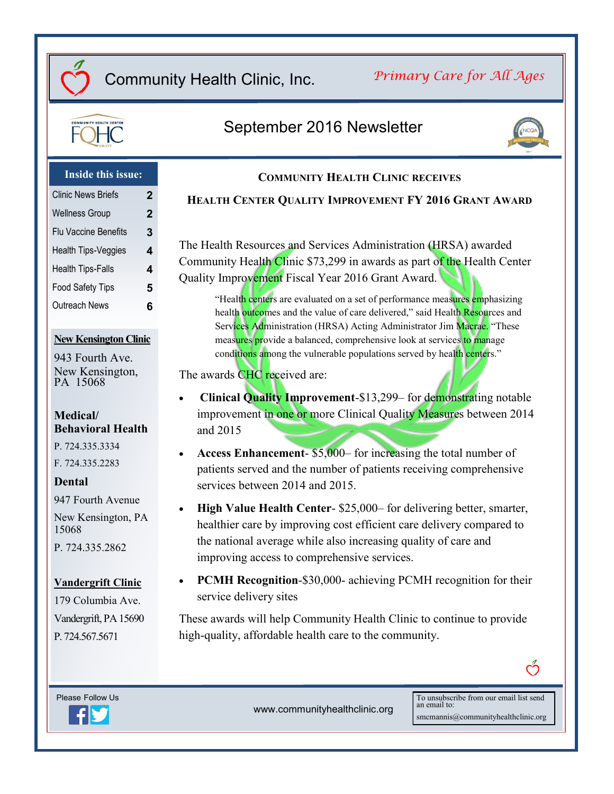# Community Health Clinic, Inc.

*Primary Care for All Ages*



# September 2016 Newsletter



### **Inside this issue:**

| <b>Clinic News Briefs</b>  | 2 |
|----------------------------|---|
| <b>Wellness Group</b>      | 2 |
| Flu Vaccine Benefits       | 3 |
| <b>Health Tips-Veggies</b> | 4 |
| <b>Health Tips-Falls</b>   | 4 |
| <b>Food Safety Tips</b>    | 5 |
| <b>Outreach News</b>       | 6 |
|                            |   |

### **New Kensington Clinic**

943 Fourth Ave. New Kensington, PA 15068

### **Medical/ Behavioral Health**

P. 724.335.3334

F. 724.335.2283

### **Dental**

947 Fourth Avenue

New Kensington, PA 15068

P. 724.335.2862

### **Vandergrift Clinic**

179 Columbia Ave. Vandergrift, PA 15690 P. 724.567.5671

## **COMMUNITY HEALTH CLINIC RECEIVES HEALTH CENTER QUALITY IMPROVEMENT FY 2016 GRANT AWARD**

The Health Resources and Services Administration (HRSA) awarded Community Health Clinic \$73,299 in awards as part of the Health Center Quality Improvement Fiscal Year 2016 Grant Award.

"Health centers are evaluated on a set of performance measures emphasizing health outcomes and the value of care delivered," said Health Resources and Services Administration (HRSA) Acting Administrator Jim Macrae. "These measures provide a balanced, comprehensive look at services to manage conditions among the vulnerable populations served by health centers."

The awards **CHC** received are:

- **Clinical Quality Improvement**-\$13,299– for demonstrating notable improvement in one or more Clinical Quality Measures between 2014 and 2015
- **Access Enhancement** \$5,000– for increasing the total number of patients served and the number of patients receiving comprehensive services between 2014 and 2015.
- **High Value Health Center** \$25,000– for delivering better, smarter, healthier care by improving cost efficient care delivery compared to the national average while also increasing quality of care and improving access to comprehensive services.
- **PCMH Recognition**-\$30,000- achieving PCMH recognition for their service delivery sites

These awards will help Community Health Clinic to continue to provide high-quality, affordable health care to the community.



www.communityhealthclinic.org

To unsubscribe from our email list send an email to: smcmannis@communityhealthclinic.org

ෆ්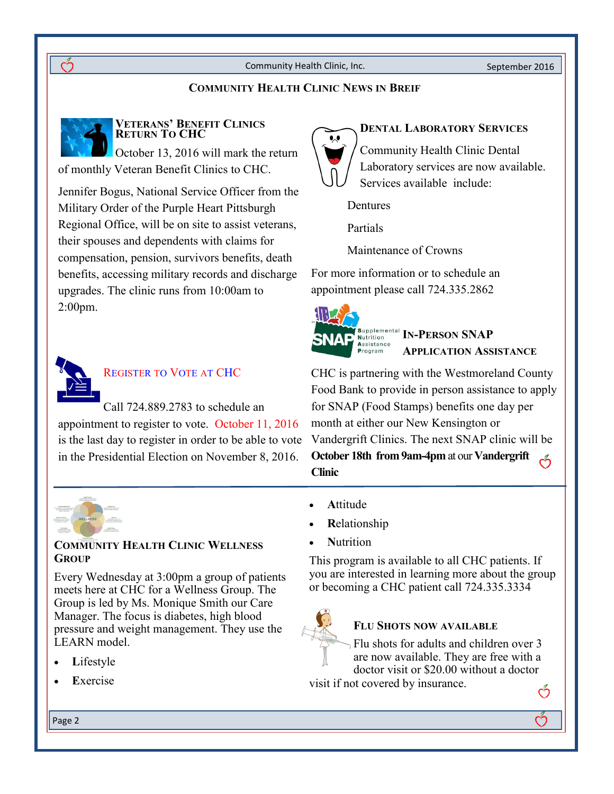### **COMMUNITY HEALTH CLINIC NEWS IN BREIF**



### **VETERANS' BENEFIT CLINICS RETURN TO CHC**

October 13, 2016 will mark the return of monthly Veteran Benefit Clinics to CHC.

Jennifer Bogus, National Service Officer from the Military Order of the Purple Heart Pittsburgh Regional Office, will be on site to assist veterans, their spouses and dependents with claims for compensation, pension, survivors benefits, death benefits, accessing military records and discharge upgrades. The clinic runs from 10:00am to 2:00pm.



## REGISTER TO VOTE AT CHC

Call 724.889.2783 to schedule an appointment to register to vote. October 11, 2016 is the last day to register in order to be able to vote in the Presidential Election on November 8, 2016.



### **COMMUNITY HEALTH CLINIC WELLNESS GROUP**

Every Wednesday at 3:00pm a group of patients meets here at CHC for a Wellness Group. The Group is led by Ms. Monique Smith our Care Manager. The focus is diabetes, high blood pressure and weight management. They use the LEARN model.

- **L**ifestyle
- **E**xercise

### **DENTAL LABORATORY SERVICES**

Community Health Clinic Dental Laboratory services are now available. Services available include:

**Dentures** 

Partials

Maintenance of Crowns

For more information or to schedule an appointment please call 724.335.2862



**IN-PERSON SNAP APPLICATION ASSISTANCE**

CHC is partnering with the Westmoreland County Food Bank to provide in person assistance to apply for SNAP (Food Stamps) benefits one day per month at either our New Kensington or Vandergrift Clinics. The next SNAP clinic will be **October 18th from 9am-4pm** at our **Vandergrift Clinic**

- **A**ttitude
- **R**elationship
- **N**utrition

This program is available to all CHC patients. If you are interested in learning more about the group or becoming a CHC patient call 724.335.3334



### **FLU SHOTS NOW AVAILABLE**

Flu shots for adults and children over 3 are now available. They are free with a doctor visit or \$20.00 without a doctor

Ď

visit if not covered by insurance.

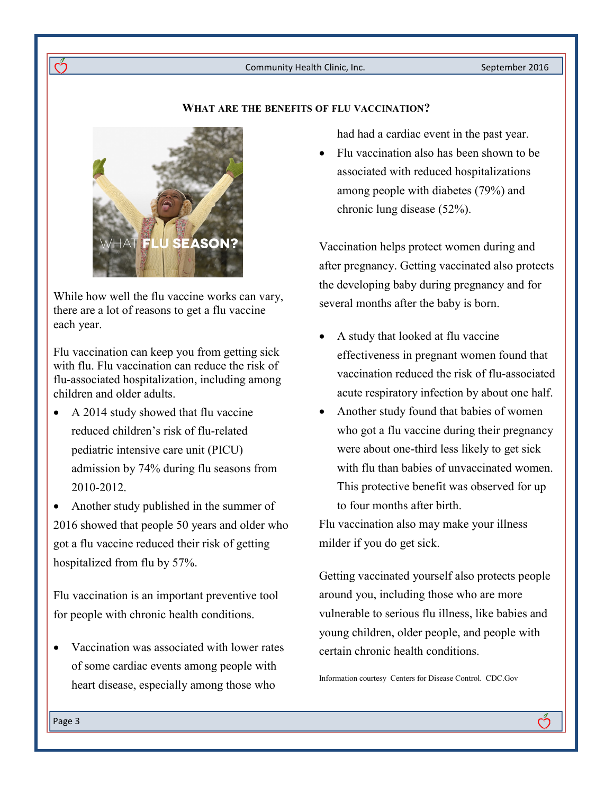#### **WHAT ARE THE BENEFITS OF FLU VACCINATION?**



ကိ

While [how well the flu vaccine works can vary,](http://www.cdc.gov/flu/about/qa/vaccineeffect.htm)  there are a lot of reasons to get a flu vaccine each year.

[Flu vaccination c](http://www.cdc.gov/flu/about/qa/vaccineeffect.htm)an keep you from getting sick with flu. Flu vaccination can reduce the risk of flu-associated hospitalization, including among children and older adults.

- A 2014 study showed that flu vaccine reduced children's risk of flu-related pediatric intensive care unit (PICU) admission by 74% during flu seasons from 2010-2012.
- Another study published in the summer of 2016 showed that people 50 years and older who got a flu vaccine reduced their risk of getting hospitalized from flu by 57%.

Flu vaccination is an important preventive tool for people with chronic health conditions.

 Vaccination was associated with lower rates of some cardiac events among people with heart disease, especially among those who

had had a cardiac event in the past year.

• Flu vaccination also has been shown to be associated with reduced hospitalizations among people with diabetes (79%) and chronic lung disease (52%).

Vaccination helps protect women during and after pregnancy. Getting vaccinated also protects the developing baby during pregnancy and for several months after the baby is born.

- A study that looked at flu vaccine effectiveness in pregnant women found that vaccination reduced the risk of flu-associated acute respiratory infection by about one half.
- Another study found that babies of women who got a flu vaccine during their pregnancy were about one-third less likely to get sick with flu than babies of unvaccinated women. This protective benefit was observed for up to four months after birth.

Flu vaccination also may make your illness milder if you do get sick.

Getting vaccinated yourself also protects people around you, including those who are more vulnerable to serious flu illness, like babies and young children, older people, and people with certain chronic health conditions.

က်

Information courtesy Centers for Disease Control. CDC.Gov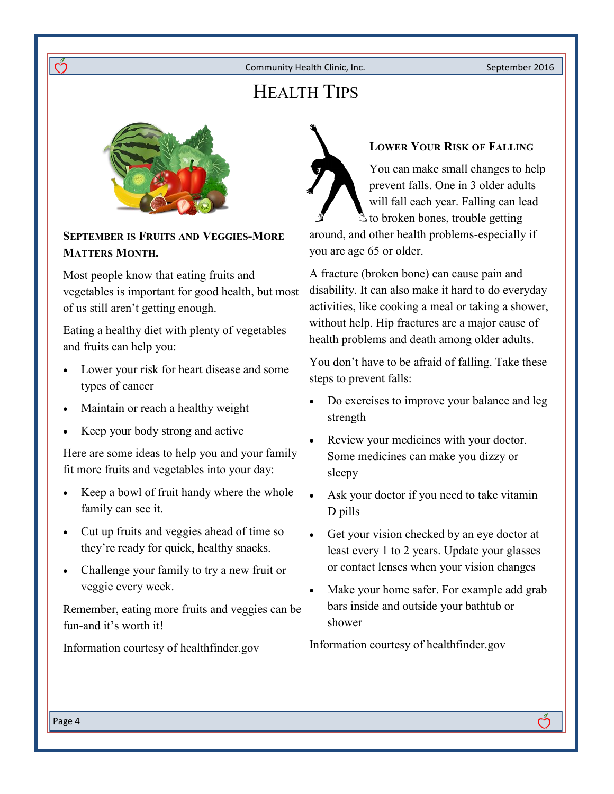# HEALTH TIPS



റ്

**SEPTEMBER IS FRUITS AND VEGGIES-MORE MATTERS MONTH.**

Most people know that eating fruits and vegetables is important for good health, but most of us still aren't getting enough.

Eating a healthy diet with plenty of vegetables and fruits can help you:

- Lower your risk for heart disease and some types of cancer
- Maintain or reach a healthy weight
- Keep your body strong and active

Here are some ideas to help you and your family fit more fruits and vegetables into your day:

- Keep a bowl of fruit handy where the whole family can see it.
- Cut up fruits and veggies ahead of time so they're ready for quick, healthy snacks.
- Challenge your family to try a new fruit or veggie every week.

Remember, eating more fruits and veggies can be fun-and it's worth it!

Information courtesy of healthfinder.gov

## **LOWER YOUR RISK OF FALLING**

You can make small changes to help prevent falls. One in 3 older adults will fall each year. Falling can lead to broken bones, trouble getting around, and other health problems-especially if you are age 65 or older.

A fracture (broken bone) can cause pain and disability. It can also make it hard to do everyday activities, like cooking a meal or taking a shower, without help. Hip fractures are a major cause of health problems and death among older adults.

You don't have to be afraid of falling. Take these steps to prevent falls:

- Do exercises to improve your balance and leg strength
- Review your medicines with your doctor. Some medicines can make you dizzy or sleepy
- Ask your doctor if you need to take vitamin D pills
- Get your vision checked by an eye doctor at least every 1 to 2 years. Update your glasses or contact lenses when your vision changes
- Make your home safer. For example add grab bars inside and outside your bathtub or shower

ကိ

Information courtesy of healthfinder.gov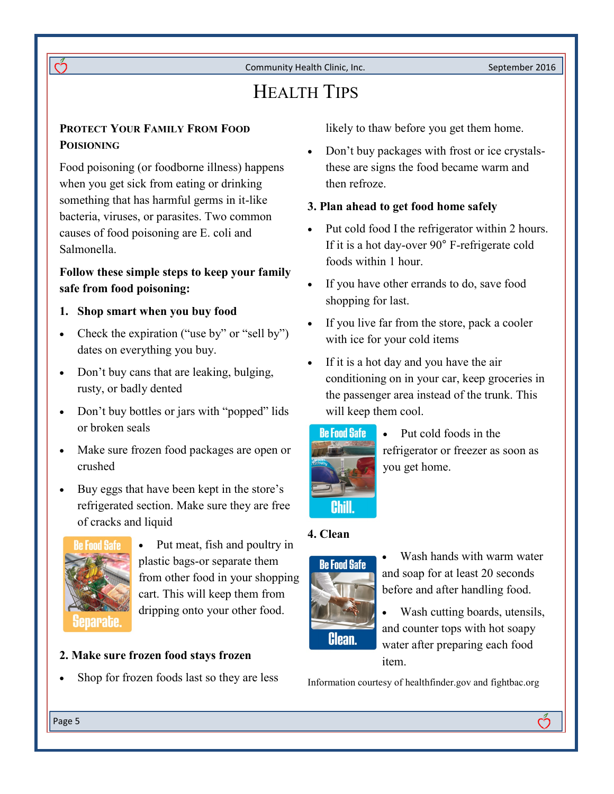# HEALTH TIPS

### **PROTECT YOUR FAMILY FROM FOOD POISIONING**

 $\breve{\mathrm{C}}$ 

Food poisoning (or foodborne illness) happens when you get sick from eating or drinking something that has harmful germs in it-like bacteria, viruses, or parasites. Two common causes of food poisoning are E. coli and Salmonella.

## **Follow these simple steps to keep your family safe from food poisoning:**

- **1. Shop smart when you buy food**
- Check the expiration ("use by" or "sell by") dates on everything you buy.
- Don't buy cans that are leaking, bulging, rusty, or badly dented
- Don't buy bottles or jars with "popped" lids or broken seals
- Make sure frozen food packages are open or crushed
- Buy eggs that have been kept in the store's refrigerated section. Make sure they are free of cracks and liquid



• Put meat, fish and poultry in plastic bags-or separate them from other food in your shopping cart. This will keep them from dripping onto your other food.

### **2. Make sure frozen food stays frozen**

Shop for frozen foods last so they are less

likely to thaw before you get them home.

 Don't buy packages with frost or ice crystalsthese are signs the food became warm and then refroze.

### **3. Plan ahead to get food home safely**

- Put cold food I the refrigerator within 2 hours. If it is a hot day-over 90° F-refrigerate cold foods within 1 hour.
- If you have other errands to do, save food shopping for last.
- If you live far from the store, pack a cooler with ice for your cold items
- If it is a hot day and you have the air conditioning on in your car, keep groceries in the passenger area instead of the trunk. This will keep them cool.



• Put cold foods in the refrigerator or freezer as soon as you get home.

### **4. Clean**



 Wash hands with warm water and soap for at least 20 seconds before and after handling food.

 Wash cutting boards, utensils, and counter tops with hot soapy water after preparing each food item.

Ő.

Information courtesy of healthfinder.gov and fightbac.org